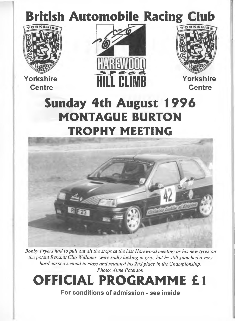# British Automobile Racing Club



**Yorkshire**





**Centre**

# Sunday 4th August 1996 MONTAGUE BURTON TROPHY MEETING



*Bobby Fryers had to pull out all the stops at the last Harewood meeting as his new tyres on the potent Renault Clio Williams, were sadly lacking in grip, but he still snatched a very hard earned second in class and retained his 2nd place in the Championship. Photo: Anne Paterson*

# OFFICIAL PROGRAMME £1

**For conditions of admission - see inside**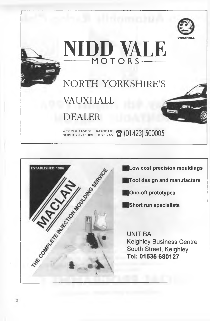





**|Low cost precision mouldings**

**|Tool design and manufacture**

**|One-off prototypes**

**IShort run specialists**

UNIT BA, Keighley Business Centre South Street, Keighley **Tel: 01535 680127**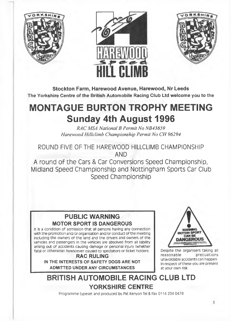





**Stockton Farm, Harewood Avenue, Harewood, Nr Leeds** The Yorkshire Centre of the British Automobile Racing Club Ltd welcome you to the

## **MONTAGUE BURTON TROPHY MEETING Sunday 4th August 1996**

*RAC MSA National B Permit No NB43659 Harewood Hillclimb Championship Permit No CH 96294*

ROUND FIVE OF THE HAREWOOD HILLCLIMB CHAMPIONSHIP AND

A round of the Cars & Car Conversions Speed Championship, Midland Speed Championship and Nottingham Sports Car Club Speed Championship

## **PUBLIC WARNING MOTOR SPORT IS DANGEROUS**

It is a condition of admission that ali persons having any connection with the promotion and/or organisation and/or conduct of the meeting including the owners of the land and the drivers and owners of the vehicles and passengers in the vehicles are absolved from all liability arising out of accidents causing damage or personal injury (whether fatal or otherwise) howsoever caused to spectators or ticket holders.

**RAC RULING IN THE INTERESTS OF SAFETY DOGS ARE NOT ADMITTED UNDER ANY CIRCUMSTANCES**



Despite the organisers taking all reasonable precuations unavoidable accidents can happen. In respect of these you are present at your own risk.

## **BRITISH AUTOMOBILE RACING CLUB LTD YORKSHIRE CENTRE**

Programme typeset and produced by Pat Kenyon Tel & Fax 0114 234 0478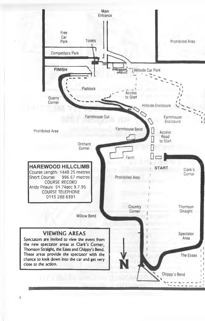

 $\overline{4}$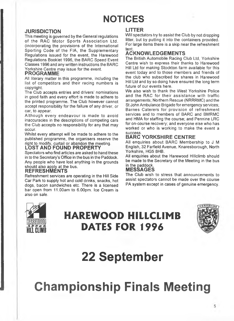## **NOTICES**

### **JURISDICTION**

This meeting is governed by the General regulations of the RAC Motor Sports Association Ltd. (incorporating the provisions of the International Sporting Code of the FIA, the Supplementary Regulations issued for the event, the Harewood Regulations Booklet 1996, the BARC Speed Event Classes 1996 and any written instructions the BARC Yorkshire Centre may issue for the event.

### **PROGRAMME**

All literary matter in this programme, including the list of competitors and their racing numbers is copyright.

The Club accepts entries and drivers' nominations in good faith and every effort is made to adhere to the printed programme. The Club however cannot accept responsibility for the failure of any driver, or car, to appear.

Although every endeavour is made to avoid inaccuracies in the descriptions of competing cars the Club accepts no responsibility for any that may occur.

Whilst every attempt will be made to adhere to the published programme, the organisers reserve the right to modify, curtail or abandon the meeting.

### **LOST AND FOUND PROPERTY**

Spectators who find articles are asked to hand these in to the Secretary's Office in the bus in the Paddock. Any people who have lost anything in the grounds should also apply at the bus.

### **REFRESHMENTS**

Refreshment services are operating in the Hill Side Car Park to supply hot and cold drinks, snacks, hot dogs, bacon sandwiches etc. There is a licensed bar open from 11,00am to 6.00pm. Ice Cream is also on sale.

### **LITTER**

Will spectators try to assist the Club by not dropping litter, but by putting it into the containers provided. For large items there is a skip near the refreshment tent.

### **ACKNOWLEDGEMENTS**

The British Automobile Racing Club Ltd, Yorkshire Centre wish to express their thanks to Harewood Hill Ltd for making Stockton farm available for this event today and to those members and friends of the club who subscribed for shares in Harewood Hill Ltd and by so doing have ensured the long term future of our events here.

We also wish to thank the West Yorkshire Police and the RAC for their assistance with traffic arrangements; Northern Rescue (NRRRMC) and the St John Ambulance Brigade for emergency services; Barnes Caterers for provision of refreshment services and to members of BARC and BMRMC and HMA for staffing the course; and Pennine LRC for on-course recovery; and everyone else who has worked or who is working to make the event a success.

### **BARC YORKSHIRE CENTRE**

All enquiries about BARC Membership to J M English, 32 Farfield Avenue, Knaresborough, North Yorkshire, HG5 8HB.

All enquiries about the Harewood Hillclimb should be made to the Secretary of the Meeting in the bus in the paddock.

### **MESSAGES**

The Club wish to stress that announcements to assist spectators cannot be made over the course PA system except in cases of genuine emergency.



# HAREWOOD HILLCLIMB DATES FOR 1996



# **22 September**

**Championship Finals Meeting**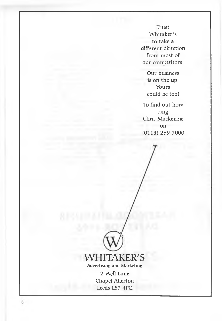**Trust Whitaker's to take a different direction from most of our competitors.**

> **Our business is on the up. Yours could be too!**

**To find out how ring Chris Mackenzie on (0113)269 7000**



**2 Well Lane Chapel Allerton Leeds LS7 4PQ**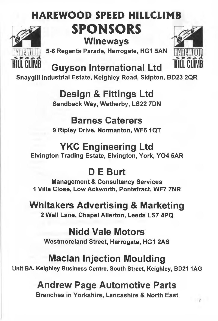# HAREWOOD SPEED HILLCLIMB SPONSORS **Wineways**



**5-6 Regents Parade, Harrogate, HG1 SAN**



**Guyson International Ltd** 

**Snaygill Industrial Estate, Keighley Road, Skipton, BD23 2QR**

**Design & Fittings Ltd**

**Sandbeck Way, Wetherby, LS22 7DN**

## **Barnes Caterers**

**9 Ripley Drive, Normanton, WF6 1QT**

## **YKC Engineering Ltd**

**Elvington Trading Estate, Elvington, York, Y04 5AR**

# **D E Burt**

**Management & Consultancy Services 1 Villa Close, Low Ackworth, Pontefract, WF7 7NR**

# **Whitakers Advertising & Marketing**

**2 Well Lane, Chapel Allerton, Leeds LS7 4PQ**

## **Nidd Vale Motors**

**Westmoreland Street, Harrogate, HG1 2AS**

## **Maclan Injection Moulding**

**Unit BA, Keighley Business Centre, South Street, Keighley, BD21 1AG**

## **Andrew Page Automotive Parts**

**Branches in Yorkshire, Lancashire & North East**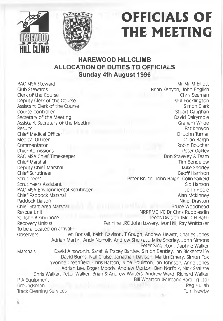



# OFFICIALS OF THE MEETING

## **HAREWOOD HILLCLIMB ALLOCATION OF DUTIES TO OFFICIALS Sunday 4th August 1996**

Assistant Clerk of the Course Assistant Secretary of the Meeting Medical Officer RAC MSA Chief Timekeeper Chief Scrutineer Scrutineers Assistant Chief Start Area Marshal To be allocated on arrival:-

RAC MSA Steward Mr Mr M Elliott Brian Kenyon, John English<br>Chris Seaman Clerk of the Course Chris Seaman Chris Seaman Chris Seaman Chris Seaman Chris Seaman Chris Seaman Chris Seaman<br>
Deputy Clerk of the Course Chris Seaman Chris Seaman Chris Seaman Chris Seaman Chris Seaman Chris Seaman Chri Deputy Clerk of the Course **Paul Pocklington**<br>Assistant Clerk of the Course **Paul Pocklington**<br>Simon Clark Course Controller and Course Controller and Course Course Course Course Course Course Course Course Course Course Course Course Course Course Course Course Course Course Course Course Course Course Course Course Course Cou Secretary of the Meeting David Dairympie<br>
Assistant Secretary of the Meeting David Dairympie<br>
Craham Wride Results Pat Kenyon Chief Medical Officer Dr John Turner Nedical Officer Dr John Turner Nedical Officer Dr John Turner Nedical Officer Dr John Turner Nedical Officer Dr John Turner Nedical Officer Dr John Turner Nedical Officer Dr John Turner Commentator **Robin Boucher** Robin Boucher Chief Admissions Peter Oakley (2008) 2014 12:30 Peter Oakley (2008) 2014 2022 2023 2024 2025 2027 2028 2029 20<br>Pon Staveley & Team (2009) 2023 2024 2025 2027 2028 2024 2025 2027 2028 2024 2025 2027 2028 2027 2028 2029 20 Chief Marshal National Chief Marshal Chief Marshal Tim Bendeiow<br>
Deputy Chief Marshal National Chief Marshal National Chief Marshal National Chief Marshal National Chief Mars Deputy Chief Marshal Mike Shorley Nike Shorley<br>
Chief Scrutineer Mike Shorley Nike Shorley<br>
Ceoff Harrison Scrutineers **Scrutineers** Peter Bruce, John Haigh, Colin Saikeid<br>Scrutineers Assistant Sides Scrutineers Assistant RAC MSA Environmental Scrutineer John Hooie John Hooie Chief Paddock Marshal Alan McKinney and Alan McKinney Alan McKinney Paddock Liaison Nigel Drayton Nigel Drayton Nigel Drayton Nigel Drayton Nigel Drayton Nigel Drayton Nigel Drayton Nigel Drayton Nigel Drayton Nigel Drayton Nigel Drayton Nigel Drayton Nigel Drayton Nigel Drayton Nigel Dray Rescue Unit **NRRRMC IVE Dr Chris Ruddlesdin**<br>St John Ambulance Leeds Division (Mr D H Baff) Leeds Division (Mr D H Baff) Recovery Unit(s) Pennine LRC John Lowery, Ivor Hill, Ray Whittaker

Observers Len Bonsail, Keith Davison, T Gough, Andrew Hewitt, Charles Jones Adrian Martin, Andy Norfolk, Andrew Sherratt, Mike Shorley, John Simons Peter Singleton, Daphne Walker Marshals David Ainsworth, Sarah & Tracey Bartley, Simon Bentley, Ian Bickerstaffe David Burns, Nell Cruise, Jonathan Davison, Martin Emery, Simon Fox Yvonne Greenfield, Chris Hatton, June Houiston, Ian Johnson, Anne Jones Adrian Lee, Roger Moody, Andrew Morton, Ben Norfolk, Nick Saaliste Chris Walker, Peter Walker, Brian & Andrew Waiters, Andrew Ward, Richard Walker P A Equipment Bill Wharton (Falrbank Harding Ltd) Groundsman Reg Huliah Track Cleaning Services Tom Newby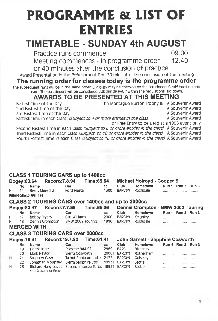# PROGRAMME & LIST OF ENTRIES

# **TIMETABLE - SUNDAY 4th AUGUST**

Practice runs commence 09.00<br>Meeting commences - In programme order 09.00 Meeting commences - In programme order

or 40 minutes after the conclusion of practice.

Award Presentation in the Refreshment Tent 30 mins after the conclusion of the meeting

## **The running order for classes today is the programme order**

The subsequent runs will be in the same order. Eligibility may be checked by the scrutineers Geoff Harrison and team. The scrutineers will be considered 'JUDGES OF FACT within the regulations laid down.

# **AWARDS TO BE PRESENTED AT THIS MEETING**<br>Fastest Time of the Day **The Montague Burton Trophy &** A Soun

2nd Fastest Time of the Day and the Same of the Day and the Souvenir Award 2nd Fastest Time of the Day and the Souvenir Award

5rd Fastest Time of the Day<br>Fastest Time in each Class *(Subject to 4 or more entries In the class)* A Souvenir Award

Fastest Time in each Class *(Subject to 4 or more entries in the class)* 

or Free Entry to be used at a 1996 event only

The Montague Burton Trophy & A Souvenir Award<br>A Souvenir Award

Second Fastest Time in each Ciass *(Subject to 6 or more entries in the ciass)* A Souvenir Award Third Fastest Time in each Class *(Subject to 10 or more entries in the ciass)* A Souvenir Award Fourth Fastest Time In each Class *(Subject to 16 or more entries in the class)* A Souvenir Award

#### **CLA SS 1 TOURING CARS up to 1400CC** Bogey:83.64 Record:7.8.9<br>No Name: Car **No Name Car cc** H 14 Brent Meredith Ford Fiesta 1300 MERGED WITH **CLA SS 2 TOURING CARS over 1400cc and up to 2000CC** Bogey:83.47 Record:7.7.96 Time:65.06 **No Name Car cc** H 17 Bobby Fryers Clio Williams 2000<br>H 18 Dennis Crompton BMW 2002 Touring 1990 BMW 2002 Touring 1990 Michael Holroyd - Cooper S<br>Club Hometown Run 1 R **Club Hometown Run 1 Run 2 Run 3**<br>RARC(Y) Rochdale **Communication** Run 2 Run 3 BARC(Y) Rochdale .................................... Dennis Crompton - BMW 2002 Touring **Club Hometown Run 1 Run 2 Run 3**<br>BARC(Y) Keighley **Club Club Club Run 2 Run 3** BARC(Y) Keighley ......................................

**MERGED WITH**

## **CLA SS 3 TOURING CARS over 2000cc**

| Bogey: 79.41 |           | Record: 19.7.92        |                                                       | ■ Time:61.41 |         | John Garnett - Sapphire Cosworth |  |                   |                   |  |
|--------------|-----------|------------------------|-------------------------------------------------------|--------------|---------|----------------------------------|--|-------------------|-------------------|--|
|              | <b>No</b> | <b>Name</b>            | Car                                                   | <b>CC</b>    | Club    | Hometown                         |  | Run 1 Run 2 Run 3 |                   |  |
|              | 19        | Derek Jones            | Porsche 944 S2                                        | 2969         | BARC    | Billericav                       |  |                   | <b>**********</b> |  |
|              | 20        | Mark Navlor            | Sierra Cosworth                                       | 2000T        | BARC(Y) | Rotherham                        |  |                   |                   |  |
| н            | 21        | Stephen Gash           | Talbot Sunbeam Lotus 2172 BARC(Y)                     |              |         | Guiseley                         |  |                   |                   |  |
|              | 22        | Jonathan Mounsey       | Sierra Sapphire Cos 1993T BARC(Y)                     |              |         | Settle                           |  |                   |                   |  |
| н            | 23        | Ent: Gibson's of Brock | Richard Hargreaves Subaru Impreza Turbo 1993T BARC(Y) |              |         | Settle                           |  |                   |                   |  |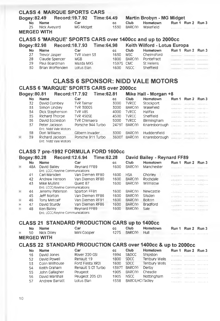| <b>CLASS 4 MARQUE SPORTS CARS</b> |                                                           |                                       |           |             |                                  |  |                             |       |  |  |  |
|-----------------------------------|-----------------------------------------------------------|---------------------------------------|-----------|-------------|----------------------------------|--|-----------------------------|-------|--|--|--|
|                                   | Record: 19.7.92 Time: 64.49<br><b>Bogey:82.49</b>         |                                       |           |             | <b>Martin Brobyn - MG Midget</b> |  |                             |       |  |  |  |
| <b>No</b>                         | Name                                                      | Car                                   | CC.       | <b>Club</b> | Hometown                         |  | Run 1 Run 2                 | Run 3 |  |  |  |
| 25                                | Nick Avevard                                              | <b>MC Midget</b>                      | 1330      | BARC(Y)     | Wakefield                        |  |                             |       |  |  |  |
|                                   | <b>MERGED WITH</b>                                        |                                       |           |             |                                  |  |                             |       |  |  |  |
|                                   | CLASS 5 'MARQUE' SPORTS CARS over 1400cc and up to 2000cc |                                       |           |             |                                  |  |                             |       |  |  |  |
|                                   |                                                           |                                       |           |             |                                  |  |                             |       |  |  |  |
|                                   |                                                           | Bogey:82.98 Record:18.7.93 Time:64.98 |           |             | Keith Wilford - Lotus Europa     |  |                             |       |  |  |  |
| <b>No</b>                         | Name                                                      | Car                                   | CC.       | <b>Club</b> | Hometown                         |  | Run 1 Run 2                 | Run 3 |  |  |  |
| 27                                | Trevor Jasper                                             | TVR Vixen S3                          | 1630      | <b>MSC</b>  | Chelmsford                       |  | essikkes: Likessee passagid |       |  |  |  |
| 28                                | Claude Spencer                                            | <b>MGB</b>                            | 1800      | BARC(Y)     | Pontefract                       |  |                             |       |  |  |  |
| 29                                | Paul Boardman                                             | Mazda MX5                             | 1597S CMC |             | St Helens                        |  |                             |       |  |  |  |

## **CLASS 6 SPONSOR: NIDD VALE MOTORS**

## **CLA SS 6 'MARQUE' SPORTS CARS over 2000cc**

|   | Bogey: 80.81 | Record: 17.7.92                          |                     | Time:62.81 |       |              | Mike Hall - Morgan +8 |                   |                                     |                          |
|---|--------------|------------------------------------------|---------------------|------------|-------|--------------|-----------------------|-------------------|-------------------------------------|--------------------------|
|   | No           | Name                                     | Car                 | CC.        |       | <b>Club</b>  | Hometown              |                   | Run 1 Run 2                         | Run 3                    |
|   | 32           | David Combey                             | <b>TVR</b> Taimar   |            | 3000  | <b>TVRCC</b> | Stockport             |                   | consideration.                      |                          |
|   | 33           | Simon Lindiev                            | <b>TVR 3000S</b>    |            | 3000  | BARC(Y)      | Wakefield             |                   | THE R. P. LEWIS CO., LANSING, MICH. |                          |
|   | 34           | Dick Stephenson                          | TVR V8S             |            | 4000  | <b>TVRCC</b> | Halifax               | <b>CONTRACTOR</b> |                                     | 101110-1012 - 10211-0011 |
|   | 35           | Richard Thorpe                           | <b>TVR 450SE</b>    |            | 4500  | <b>TVRCC</b> | Sheffield             |                   | residence disposition relevative    |                          |
|   | 36           | David Eccleston                          | <b>TVR Chimaera</b> |            | 5000  | <b>TVRCC</b> | Birmingham            |                   | responses concerned induced         |                          |
|   | 37           | Peter Jackson<br>Ent: Nidd Vale Motors   | Porsche 944 Turbo   |            | 2479T | BARC(Y)      | Knaresborough         |                   |                                     |                          |
|   | 38           | Don Wilijams                             | Gilbern Invader     |            | 3000  | BARC(Y)      | Huddersfield          |                   |                                     |                          |
| H | 39           | Richard Jackson<br>Ent: Nidd Vale Motors | Porsche 911 Turbo   |            | 3600T | BARC(Y)      | Knaresborough         |                   | <b>CONTRACTOR</b> CONTRACTOR        |                          |

## **CLA SS 7 pre-1992 FORMULA FORD 1600cc**

|   | Bogey: 80.28                     |                                  | Record:12.6.94 Time:62.28 |      |            | David Bailey - Reynard FF89 |                                                      |  |
|---|----------------------------------|----------------------------------|---------------------------|------|------------|-----------------------------|------------------------------------------------------|--|
|   | No.                              | <b>Name</b>                      | Car                       | CC.  | Club       | Hometown                    | Run 1 Run 2 Run 3                                    |  |
| Н | 48A                              | David Bailey                     | Revnard FF89              | 1600 | BARC(Y)    | Manchester                  |                                                      |  |
|   | Ent: LCCC/Kevline Communications |                                  |                           |      |            |                             |                                                      |  |
|   | 41                               | Carl Marsden                     | Van Diemen RF80           | 1600 | <b>HSA</b> | Chorley                     | .                                                    |  |
|   | 42                               | Andrew Henson                    | Van Diemen RF80           | 1600 | BARC(Y)    | Rochdale                    | extention concerned constructions                    |  |
|   | 43                               | Mike Mullins                     | Quest 87                  | 1600 | BARC(Y)    | Wilmslow                    |                                                      |  |
|   |                                  | Ent: LCCC/Kevline Communications |                           |      |            |                             |                                                      |  |
| H | 44                               | Jeremy Paterson                  | Sparton FF81              | 1600 | BARC(Y)    | Newcastle                   | extended to concern the company                      |  |
|   | 45                               | Jeff Norton                      | Van Diemen RF86           | 1600 | BARC(Y)    | Silsden                     | externality conserves received and                   |  |
| H | 46                               | Tony Metcalf                     | Van Diemen RF91           | 1600 | BARC(Y)    | <b>Bolton</b>               | exilent children and a contract to a substitution of |  |
| H | 47                               | David Sturdy                     | Van Diemen RF86           | 1600 | BARC(Y)    | <b>Bradford</b>             | <b>PREAMART CALLANTEL ARABITECT</b>                  |  |
| Н | 48                               | Ken Bailey                       | Reynard FF89              | 1600 | BARC(Y)    | Sale                        |                                                      |  |
|   |                                  | Ent: LCCC/Kevline Communications |                           |      |            |                             |                                                      |  |

### **CLA SS 21 STANDARD PRODUCTION CARS up to 1400CC**

| H | No. | Name<br>50 Nick Diliey<br>MERGED WITH. | Car<br>Mini Cooper                                           | cc.<br>1275 | <b>Club</b><br>BARC(Y) | Hometown<br>Hull | Run 1 Run 2 Run 3 | . |
|---|-----|----------------------------------------|--------------------------------------------------------------|-------------|------------------------|------------------|-------------------|---|
|   |     |                                        | CLASS 22 STANDARD PRODUCTION CARS over 1400cc & up to 2000cc |             |                        |                  |                   |   |

| No | <b>Name</b>     | Car                | CC.          | Club             | Hometown      | Run 1 Run 2 Run 3                                                                                                                                                                                                             |  |
|----|-----------------|--------------------|--------------|------------------|---------------|-------------------------------------------------------------------------------------------------------------------------------------------------------------------------------------------------------------------------------|--|
| 16 | David Jones     | Rover 220 GSI      | 1994         | S&DCC            | Shipston      |                                                                                                                                                                                                                               |  |
| 52 | David Powell    | Renault 19         | 1800         | <b>SDCC</b>      | Tenbury Wells |                                                                                                                                                                                                                               |  |
| 53 | Colin Millhouse | Ford Fiesta XR2I   | 1600         | <b>SDCC</b>      | Tenbury Wells |                                                                                                                                                                                                                               |  |
| 54 | Keith Graham    | Renault 5 GT Turbo | <b>1397T</b> | BARC(Y)          | Derby         | the control of the control of the control of the control of the control of the control of the control of the control of the control of the control of the control of the control of the control of the control of the control |  |
| 55 | John Gallagher  | Peugeot            | 1905         | BARC(Y)          | Cheadle       | the complete contract and contract of the                                                                                                                                                                                     |  |
| 56 | David Marshall  | Peugeot 205 CTI    | 1905         | <b>NSCC</b>      | Nottingham    |                                                                                                                                                                                                                               |  |
| 57 | Andrew Barratt  | Lotus Elan         | 1558         | BARC(LHC) Tadley |               |                                                                                                                                                                                                                               |  |
|    |                 |                    |              |                  |               |                                                                                                                                                                                                                               |  |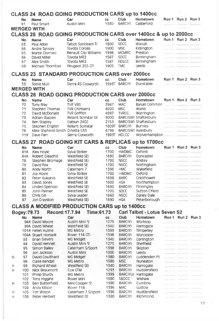|   | <b>CLASS 24 ROAD GOING PRODUCTION CARS up to 1400cc</b> |                                |                                                                 |              |                             |                              |       |                                 |                |
|---|---------------------------------------------------------|--------------------------------|-----------------------------------------------------------------|--------------|-----------------------------|------------------------------|-------|---------------------------------|----------------|
|   | <b>No</b>                                               | <b>Name</b>                    | Car                                                             | cc           | Club                        | Hometown                     | Run 1 | Run 2 Run 3                     |                |
|   | 61                                                      | Paul Smart                     | Austin Mini                                                     | 1330         | BARC(Y)                     | Castleford                   | .     |                                 |                |
|   |                                                         | <b>MERGED WITH</b>             |                                                                 |              |                             |                              |       |                                 |                |
|   |                                                         |                                | CLASS 25 ROAD GOING PRODUCTION CARS over 1400cc & up to 2000cc  |              |                             |                              |       |                                 |                |
|   | No                                                      | <b>Name</b>                    | Car                                                             | cc           | Club                        | Hometown                     |       | Run 1 Run 2 Run 3               |                |
|   | 63                                                      | Paul Atkin                     | Talbot Sunbeam Ti                                               | 1600         | <b>SDCC</b>                 | Walsall                      |       |                                 |                |
|   | 64                                                      | Andre Tansiey                  | Toyota Corolla                                                  | 1600         | <b>MSC</b>                  | Kidiington                   |       |                                 | 1.111111111111 |
|   | 65                                                      | Martin Domleo                  | Renault Clio Williams                                           | 1998<br>1587 | <b>MCMRC</b><br><b>SDCC</b> | Preston                      |       | SERGEREE DESPERSE               |                |
|   | 66<br>67                                                | David Miller<br>Alex Smith     | Toyota MR2<br>Toyota MR2                                        | 1587         | HDLCC                       | Birmingham<br>Birmingham     |       | 369990469                       |                |
|   | 68                                                      | Michael Thornton               | Peugeot 205 GTi                                                 | 1905         | <b>TMC</b>                  | Leeds                        |       |                                 |                |
|   |                                                         |                                |                                                                 |              |                             |                              |       |                                 |                |
|   |                                                         |                                | <b>CLASS 23 STANDARD PRODUCTION CARS over 2000cc</b>            |              |                             |                              |       |                                 |                |
|   | No                                                      | <b>Name</b>                    | Car                                                             | cc           | Club                        | Hometown                     | Run 1 | Run 2 Run 3                     |                |
|   | 59                                                      | Steve Muir                     | Sierra RS Cosworth                                              |              | 1993T BARC(Y)               | Dunstable                    | .     | THURSDAY THEORICAL              |                |
|   |                                                         | <b>MERGED WITH</b>             |                                                                 |              |                             |                              |       |                                 |                |
|   |                                                         |                                | <b>CLASS 26 ROAD GOING PRODUCTION CARS over 2000cc</b>          |              |                             |                              |       |                                 |                |
|   | No                                                      | Name                           | Car                                                             | CC           | Club                        | Hometown                     |       | Run 1 Run 2 Run 3               |                |
|   | 70                                                      | <b>Tony May</b>                | TVR V8S                                                         | 3947         | MAC                         |                              |       |                                 |                |
|   | 71                                                      | Stephen Thomas                 | <b>TVR Chimaera</b>                                             | 4000         | MSC                         | Warks                        |       |                                 |                |
|   | 72                                                      | David McDonald                 | <b>TVR Griffith</b>                                             | 4997         | <b>TVRCC</b>                | Warrington                   |       |                                 |                |
|   | 73                                                      | Adrian Stapiey                 | Reliant Scimitar SE                                             | 3000         |                             | BARC(SW) Shaftesbury         |       |                                 |                |
|   | 74                                                      | Ben Stapiey                    | Datsun 240Z                                                     | 2753         |                             | BARC(SW) Shaftesbury         |       | Taxibidanii -------------       |                |
|   | 75                                                      | Stephen English                | Reliant Scimitar                                                | 1809T        | BARC(Y)                     | Burnley                      |       | contractor delegations          |                |
|   | 76                                                      | Mike Shpherd-Smith Ginetta G33 |                                                                 | 4798         |                             | BARC(SW) Aylesbury           |       |                                 |                |
|   | 119                                                     | Dave Parr                      | Sierra Cosworth                                                 |              | 1993T HDLCC                 | Wolverhampton                |       |                                 |                |
|   |                                                         |                                | <b>CLASS 27 ROAD GOING KIT CARS &amp; REPLICAS up to 1700cc</b> |              |                             |                              |       |                                 |                |
|   | No                                                      | <b>Name</b>                    | Car                                                             | cc.          | Club                        | Hometown                     |       | Run 1 Run 2 Run 3               |                |
|   | 81A                                                     | Alex Hovie                     | Sylva Striker                                                   | 1700         | <b>HWDMC</b>                | Oxford                       |       |                                 |                |
|   | 84A                                                     | Robert Gleadhill               | Westfield SEi                                                   | 1690         | BARC(Y)                     | Doncaster                    |       | 14544444441                     |                |
|   | 78                                                      | Stephen Bromage                | Westfield SEi                                                   | 1700         | <b>NSCC</b>                 | Anstey                       |       |                                 |                |
|   | 79                                                      | David Fox                      | Westfield SE                                                    | 1700         | <b>NSCC</b>                 | Nottingham                   |       | (                               |                |
|   | 80                                                      | Andy North                     | Caterham 7                                                      | 1396         | <b>HMC</b>                  | Wakefield                    |       |                                 |                |
|   | 81                                                      | Joy Hoyle                      | Sylva Striker                                                   | 1700         | <b>HWDMC</b>                | Oxford                       |       |                                 |                |
|   | 82                                                      | Peter Kukainis                 | Westfield SE                                                    | 1698         | <b>BARC</b>                 | Crickhowell                  |       |                                 |                |
|   | 83                                                      | David Jones                    | Westfield SE                                                    | 1600         | <b>HSA</b>                  | Northampton                  |       | 1                               |                |
|   | 84                                                      | Linden Spencer                 | Westfield SEi                                                   | 1690         | BARC(Y)                     | Finningley                   |       |                                 |                |
|   | 85                                                      | John Palmer                    | Westfield SE                                                    | 1700         | <b>SDCC</b>                 | Sutton Cfield                |       |                                 |                |
|   | 86                                                      | Chris Gill                     | Sylva Leader<br>Westfield SEi                                   | 1660<br>1690 | <b>NSCC</b><br><b>HSA</b>   | Dariey Dale<br>Peterborough  |       |                                 |                |
|   | 87                                                      | Jon Crayston                   |                                                                 |              |                             |                              |       |                                 |                |
|   |                                                         |                                | <b>CLASS A MODIFIED PRODUCTION CARS up to 1400cc</b>            |              |                             |                              |       |                                 |                |
|   | Bogey: 79.73                                            | Record: 17.7.94                | Time:61.73                                                      |              |                             | Carl Talbot - Lotus Seven S2 |       |                                 |                |
|   | <b>No</b>                                               | <b>Name</b>                    | Car                                                             | CC.          | Club                        | Hometown                     |       | Run 1 Run 2 Run 3               |                |
|   |                                                         | 94A David Moore                | Austin Mini 'S'                                                 | 1275         | BARC(Y)                     | Worksop                      |       |                                 |                |
|   |                                                         | 99A David Wheat                | Westfield SEi                                                   | 1340         | BARC(Y)                     | Harrogate                    |       |                                 |                |
|   |                                                         | 101A Helen Hulme               | MG Metro                                                        | 1399         | BARC(Y)                     | Timperley                    |       | .                               |                |
|   |                                                         | 104A Stuart Horswill           | Rover 114 GTi                                                   | 1396         | BARC(Y)                     | Worcester                    |       |                                 |                |
|   | 93                                                      | <b>Brian Sievers</b>           | MG Midget                                                       | 1340         | BARC(Y)                     | Darlington                   |       |                                 |                |
|   | 94                                                      | David Hennell                  | Austin Mini 'S'                                                 | 1275<br>1398 | BARC(Y)                     | <b>Sheffield</b>             |       |                                 |                |
|   | 95                                                      | Simon Bailey<br>Jon Jackson    | Caterham S/Sport<br>Austin Mini                                 | 1000         | BARC(Y)<br>BARC(Y)          | Skipton<br>Leeds             |       |                                 |                |
|   | 96                                                      | David Coulthard                |                                                                 | 1380         | BARC(Y)                     | Luddenden Ft                 |       |                                 |                |
| н | 97<br>98                                                | Claire Kendall                 | MG Midget<br>MG Metro                                           | 1380         | <b>MSC</b>                  | Nuneaton                     |       |                                 |                |
| н | 99                                                      | Richard Wheat                  | Westfield SEi                                                   | 1340         | BARC(Y)                     | Harrogate                    |       | analista (allegra de consecuent |                |
| Η | 100                                                     | Nick Beaumont                  | Cox GTM                                                         | 1293         | BARC(Y)                     | Huddersfield                 |       |                                 |                |
|   | Philip Sturdy<br>MG Metro<br>101                        |                                | 1399                                                            |              | BARC(YU) Harrogate          |                              |       |                                 |                |
|   | 102                                                     | <b>Tony Higgins</b>            | Rover Mini                                                      | 1380         | S&DCC                       | Wishaw                       |       |                                 |                |
| н | 103                                                     | Ben Butterfield                | Mini Cooper 'S'                                                 | 1380         | BARC(Y)                     | Cumbria                      |       |                                 |                |
|   | 104                                                     | Andy Kitson                    | Rover 114                                                       | 1396         | MAC                         | Ludlow                       |       |                                 |                |
| н | 105                                                     | Tim Wilson                     | Caterham 7 S/sport                                              | 1396         | BARC(Y)                     | Huddersfield                 |       |                                 |                |
| н | 106                                                     | Peter Herbert                  | Westfield SE                                                    | 1380         | BARC(Y)                     | Richmond                     |       |                                 |                |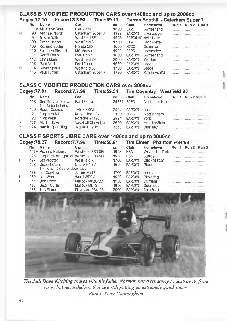## CLASS **B** MODIFIED PRODUCTION CARS over **1400cc** and **up** to **2000cc**

|   | Bogey: 77.10 | Record: 8.8.93        | Time:59.10       |      |             | Darren Soothill - Caterham Super 7 |                                    |   |
|---|--------------|-----------------------|------------------|------|-------------|------------------------------------|------------------------------------|---|
|   | No.          | <b>Name</b>           | Car              | CC.  | Club        | Hometown                           | Run 1 Run 2 Run 3                  |   |
|   |              | 111A Matthew Dean     | Lotus 7 SII      | 1600 | <b>BARC</b> | Switzerland                        |                                    |   |
| Ή | 90           | Michael North         | Caterham Super 7 | 1998 | BARC(Y)     | Liversedge                         | *********** *********** ********** |   |
|   | 91           | Trevor Willis         | Westfield SEi    | 1998 |             | BARC(LHC) Aylesbury                | .                                  | . |
|   | 108          | Peter Bishop          | Westfield SE     | 1700 | <b>BAMC</b> | Leominster                         | <b>***********</b> **********      |   |
|   | 109          | <b>Richard Butler</b> | Honda CRX        | 1600 | <b>NSCC</b> | Goverton                           | <b></b>                            | . |
|   | 110          | Stephen Rickard       | MG Maestro       | 1999 | <b>BARC</b> | Leavesden                          |                                    |   |
|   | 111          | Geoff Dean            | Lotus 7 S2       | 1600 | BARC(Y)     | Switzerland                        |                                    |   |
|   | 112          | Chris Mann            | Westfield SE     | 2000 | BARC(Y)     | Yeadon                             |                                    |   |
|   | 113          | Paul Nutter           | Ford Escort      | 1660 | BARC(Y)     | Leeds                              |                                    |   |
| н | 114          | David Spaull          | Westfield SEi    | 1700 | BARC(Y)     | Leeds                              | .                                  | . |
|   | 115          | Paul Turner           | Caterham Super 7 | 1760 | BARC(Y)     | St'n in Ashf'd                     |                                    |   |
|   |              |                       |                  |      |             |                                    |                                    |   |

### **CLA SS C MODIFIED PRODUCTION CARS over 2000cc**

|   | Bogey: 77.91 | Record: 7.7.96                          |                   | Time: 59.34 |           |             | <b>Tim Coventry - Westfield S8</b> |                                       |   |
|---|--------------|-----------------------------------------|-------------------|-------------|-----------|-------------|------------------------------------|---------------------------------------|---|
|   | No           | <b>Name</b>                             | Car               |             | <b>CC</b> | Club        | Hometown                           | Run 1 Run 2 Run 3                     |   |
|   | 118          | Geoffrey Kershaw<br>Ent: Turbo Technics | Ford Sierra       |             | 2933T     | <b>BARC</b> | Northampton                        | APARA LA COL COMMUNICATION            |   |
|   | 120          | Roger Couisey                           | <b>TVR 3000M</b>  |             | 2994      | BARC(Y)     | Leeds                              |                                       |   |
|   | 121          | Stephen Miles                           | Robin Hood S7     |             | 2100      | <b>NSCC</b> | Nottingham                         |                                       |   |
| н | 122          | Nick Wear                               | Porsche 911SC     |             | 2994      | BARC(Y)     | York                               | A R R R R R F R R R R R R R R R R R R |   |
| н | 123          | Martin Baker                            | Vauxhall Chevette |             | 2600      | BARC(Y)     | Huddersfield                       | <b>CONTRACTOR CONTRACTOR</b>          |   |
| н | 124          | Haydn Spedding                          | Jaquar E Type     |             | 4235      | BARC(Y)     | Barnsley                           |                                       | . |

### **CLA SS F SPORTS LIBRE CARS** over 1400cc and **up** to **2000cc**

|   | <b>Record: 7.7.96</b><br>Bogey: 78.27<br>TIme: 58.91 |                                     |                   |      | Tim Elmer - Phantom P84/98 |                |  |                                       |       |  |
|---|------------------------------------------------------|-------------------------------------|-------------------|------|----------------------------|----------------|--|---------------------------------------|-------|--|
|   | No                                                   | <b>Name</b>                         | Car               | CC.  | Club                       | Hometown       |  | Run 1 Run 2                           | Run 3 |  |
|   |                                                      | 126A Richard Hulbert                | Westfield SBD SEi | 1998 | <b>HSA</b>                 | Worcester Park |  |                                       |       |  |
|   | 126                                                  | Stephen Broughton Westfield SBD SEi |                   | 1998 | <b>HSA</b>                 | Surrey         |  |                                       |       |  |
| н | 127                                                  | Les Procter                         | Westfield XI      | 1700 | BARC(Y)                    | Cleckheaton    |  | <b></b>                               |       |  |
|   | 128                                                  | Geoff Peters                        | GPC 94/1 SC       | 1600 | BARC(Y)                    | Ripon          |  |                                       |       |  |
|   |                                                      | Ent: Wigan & District Motor Club    |                   |      |                            |                |  |                                       |       |  |
|   | 129                                                  | lan Cowling                         | James Mk1B        | 1700 | BARC(Y)                    | Leeds          |  |                                       |       |  |
| н | 130                                                  | Joe Ward                            | Ward WD9V         | 1999 | BARC(Y)                    | Pickering      |  | <b></b>                               |       |  |
| н | 131                                                  | <b>Bob Prest</b>                    | Mallock Mk20/27   | 1598 | BARC(Y)                    | Durham         |  | <b></b>                               |       |  |
|   | 132                                                  | Geoff Guilie                        | Mallock Mk18      | 1990 | BARC(Y)                    | Guernsey       |  | 17311111111 11111111111 10101011111   |       |  |
|   | 133                                                  | Tim Elmer                           | Phantom P84/98    | 2000 | BARC(Y)                    | Stratford      |  | ************************************* |       |  |



*The Jedi Dave Kitching shares with his father Norman has a tendancy to destroy its front tyres, but nevertheless, they are still putting up extremely quick times. Photo: Peter Cunningham*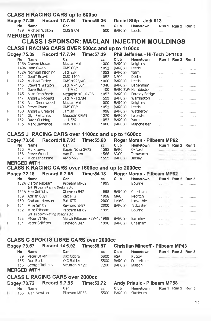|                                 | <b>CLASS H RACING CARS up to 500cc</b> |                                         |                 |                                                         |                   |                   |                            |                                                    |   |                                     |    |
|---------------------------------|----------------------------------------|-----------------------------------------|-----------------|---------------------------------------------------------|-------------------|-------------------|----------------------------|----------------------------------------------------|---|-------------------------------------|----|
| Record: 17.7.94<br>Bogey: 77.36 |                                        |                                         |                 | Time: 59.36                                             |                   |                   | Daniel Stilp - Jedi 013    |                                                    |   |                                     |    |
|                                 | No                                     | <b>Name</b>                             |                 | Car                                                     |                   | cc                | Club                       | Hometown                                           |   | Run 1 Run 2 Run 3                   |    |
|                                 |                                        | 139 Michael Walton                      |                 | OMS 87/4                                                |                   | 500               | BARC(Y)                    | Leeds                                              |   |                                     |    |
|                                 |                                        | <b>MERGED WITH</b>                      |                 |                                                         |                   |                   |                            |                                                    |   |                                     |    |
|                                 |                                        |                                         |                 |                                                         |                   |                   |                            | <b>CLASS I SPONSOR: MACLAN INJECTION MOULDINGS</b> |   |                                     |    |
|                                 |                                        |                                         |                 | <b>CLASS I RACING CARS OVER 500cc and up to 1100cc</b>  |                   |                   |                            |                                                    |   |                                     |    |
|                                 |                                        |                                         |                 |                                                         |                   |                   |                            |                                                    |   |                                     |    |
| Bogey: 75.39                    |                                        |                                         | Record: 17.7.94 |                                                         | Time: 57.39       |                   |                            | Phil Jefferies - Hi-Tech DP1100                    |   |                                     |    |
|                                 | No                                     | <b>Name</b><br>148A Craven Moses        |                 | Car                                                     |                   | CC.               | Club                       | Hometown                                           |   | Run 1 Run 2 Run 3                   |    |
|                                 |                                        | 149A Lynn Owen                          |                 | Maclan Mkl<br>OMS CF/1                                  |                   | 1000<br>1052      | BARC(Y)<br>BARC(Y)         | Keighley<br>Leeds                                  |   |                                     |    |
| Н                               |                                        | 152A Norman Kitching                    |                 | Jedi ZZR                                                |                   | 1052              | BARC(Y)                    | Yarm                                               |   |                                     |    |
|                                 | 141                                    | Geoff Beavis                            |                 | <b>OMS 1100</b>                                         |                   | 1052              | <b>NSCC</b>                | Derby                                              |   |                                     |    |
| H                               | 142                                    | Michael Tetley                          |                 | OMS 1996/48                                             |                   | 1000              | BARC(Y)                    | Leeds                                              |   |                                     |    |
|                                 | 143                                    | Stewart Watson                          |                 | Jedi Mk4 051                                            |                   | 1040              | BARC(Y)                    | Dagenham                                           |   |                                     |    |
|                                 | 144                                    | Dave Butler                             |                 | Jedi Mk4                                                |                   | 1100              |                            | BARC(SW) Hambiedon                                 |   |                                     |    |
| Н                               | 145                                    | Allan Staniforth                        |                 | Megapin 10 HC/96                                        |                   | 1052              | BARC(Y)                    | Pateley Bridge                                     |   |                                     |    |
|                                 | 147                                    | <b>Andrew Roberts</b>                   |                 | Jedi MkII 2/84                                          |                   | 599               | BARC(Y)                    | Warrington                                         |   |                                     |    |
|                                 | 148                                    | Alan Greenwood                          |                 | Maclan Mkl                                              |                   | 1000              | BARC(Y)                    | Keighley                                           |   |                                     |    |
|                                 | 149                                    | Steve Owen                              |                 | OMS CF/1                                                |                   | 1052              | BARC(Y)                    | Leeds                                              |   |                                     |    |
| н                               | 150<br>151                             | <b>Andrew Greaves</b><br>Glyn Sketchley |                 | Jamun                                                   |                   | 998<br>1070       | BARC(Y)<br>BARC(Y)         | Wetherby<br>Leicester                              |   |                                     |    |
| н                               | 152                                    | Dave Kitching                           |                 | Megapin CFM9<br>Jedi ZZR                                |                   | 1052              | BARC(Y)                    | Yarm                                               |   |                                     |    |
|                                 | 153                                    | Mark Lawrence                           |                 | OMS 1100                                                |                   | 1080              | BARC(Y)                    | Manchester                                         |   |                                     |    |
|                                 |                                        |                                         |                 |                                                         |                   |                   |                            |                                                    |   |                                     |    |
|                                 |                                        |                                         |                 | <b>CLASS J RACING CARS over 1100cc and up to 1600cc</b> |                   |                   |                            |                                                    |   |                                     |    |
|                                 |                                        |                                         | Record: 18.7.93 |                                                         |                   |                   |                            |                                                    |   |                                     |    |
| Bogey: 73.68                    |                                        |                                         |                 |                                                         | Time: 55.68       |                   |                            | Roger Moran - Pilbeam MP62                         |   |                                     |    |
|                                 | <b>No</b>                              | <b>Name</b>                             |                 | Car                                                     |                   | <b>CC</b>         | <b>Club</b>                | Hometown                                           |   | Run 1 Run 2 Run 3                   |    |
|                                 | 155<br>156                             | Mark Lewis<br>Steve Wood                |                 | Super Nova SV75<br>Van Diemen                           |                   | 1598<br>1588      | <b>BARC</b><br><b>SDCC</b> | <b>Oxford</b><br>Tamworth                          |   |                                     |    |
|                                 |                                        | 157 Mick Lancashire                     |                 | Argo Mk9                                                |                   | 1559              | BARC(Y)                    | Jersey                                             |   |                                     |    |
|                                 |                                        | <b>MERGED WITH</b>                      |                 |                                                         |                   |                   |                            |                                                    |   | TERRATORY: INTERNATORY ANNOUNCEMENT |    |
|                                 |                                        |                                         |                 | <b>CLASS K RACING CARS over 1600cc and up to 2000cc</b> |                   |                   |                            |                                                    |   |                                     |    |
|                                 |                                        |                                         |                 |                                                         | Time: 54.18       |                   |                            |                                                    |   |                                     |    |
| Bogey:72.18                     |                                        |                                         | Record: 9.7.95  |                                                         |                   |                   |                            | Roger Moran - Pilbeam MP62                         |   |                                     |    |
|                                 | No                                     | <b>Name</b><br>162A Ciaron Pilbeam      |                 | Car<br>Pilbeam MP62                                     |                   | <b>CC</b><br>1995 | <b>Club</b>                | <b>Hometown</b>                                    |   | Run 1 Run 2 Run 3                   |    |
|                                 |                                        | Ent: Pilbeam Racing Designs Ltd         |                 |                                                         |                   |                   |                            | Bourne                                             |   |                                     |    |
|                                 |                                        | 164A Sue Griffiths                      |                 | Chevron B47                                             |                   | 1998              | BARC(Y)                    | Chesham                                            |   |                                     |    |
|                                 | 159                                    | Adrian Guyli                            |                 | Ralt RT3                                                |                   | 1998              | <b>MAC</b>                 | Reditch                                            |   |                                     |    |
|                                 | 160                                    | Graham Henson                           |                 | Rait RT3                                                |                   | 2000              | <b>LMMC</b>                | Lockerbie                                          |   |                                     |    |
| н                               | 161                                    | Mike Smith                              |                 | Reynard SF87                                            |                   | 2000              | BARC(Y)                    | Tadcaster                                          |   |                                     |    |
|                                 | 162                                    | Mike Pilbeam                            |                 | Pilbeam MP62                                            |                   | 1995              |                            | Bourne                                             |   |                                     |    |
|                                 |                                        | Ent: Pilbeam Racing Designs Ltd         |                 |                                                         |                   |                   |                            |                                                    |   |                                     |    |
|                                 | 163                                    | Peter Varley                            |                 | March Pilbeam R28/461998                                |                   |                   | BARC(Y)                    | Barnsley                                           | . |                                     |    |
| H                               | 164                                    | Peter Griffiths                         |                 | Chevron B47                                             |                   | 1998              | BARC(Y)                    | Chesham                                            | . | .                                   |    |
|                                 |                                        |                                         |                 |                                                         |                   |                   |                            |                                                    |   |                                     |    |
|                                 |                                        |                                         |                 |                                                         |                   |                   |                            |                                                    |   |                                     |    |
|                                 |                                        |                                         |                 | <b>CLASS G SPORTS LIBRE CARS over 2000cc</b>            |                   |                   |                            |                                                    |   |                                     |    |
| <b>Bogey:73.57</b>              |                                        |                                         | Record: 14.6.92 |                                                         | <b>Time:55.57</b> |                   |                            | <b>Christian Mineeff - Pilbeam MP43</b>            |   |                                     |    |
|                                 |                                        | <b>Name</b>                             |                 | Car                                                     |                   |                   |                            | Hometown                                           |   |                                     |    |
|                                 | No                                     | Peter Baker                             |                 |                                                         |                   | <b>CC</b>         | Club                       |                                                    |   | Run 1 Run 2 Run 3                   |    |
|                                 | 89<br>135                              | Don Burt                                |                 | Dax Cobra<br>YKC Raider                                 |                   | 5300<br>3500      | <b>HSA</b><br>BARC(Y)      | Rugby<br>Pontefract                                |   |                                     |    |
|                                 |                                        | 136 George Tatham                       |                 | McLaren M12C                                            |                   | 7200              | BARC(Y)                    | Malton                                             |   |                                     |    |
|                                 |                                        | <b>MERGED WITH</b>                      |                 |                                                         |                   |                   |                            |                                                    |   |                                     |    |
|                                 |                                        |                                         |                 |                                                         |                   |                   |                            |                                                    |   | <b>CONTRACTOR</b>                   |    |
|                                 |                                        |                                         |                 | <b>CLASS L RACING CARS over 2000cc</b>                  |                   |                   |                            |                                                    |   |                                     |    |
| Bogey: 70.72                    |                                        |                                         | Record: 9.7.95  |                                                         | <b>Time:52.72</b> |                   |                            | <b>Andy Priaulx - Pilbeam MP58</b>                 |   |                                     |    |
|                                 | No                                     | <b>Name</b>                             |                 | Car                                                     |                   | cс                | Club                       | Hometown                                           |   | Run 1 Run 2 Run 3                   |    |
| H                               | 166                                    | Alan Newton                             |                 | Pilbeam MP58                                            |                   | 3500              | BARC(Y)                    | Slaidburn                                          |   |                                     |    |
|                                 |                                        |                                         |                 |                                                         |                   |                   |                            |                                                    |   |                                     |    |
|                                 |                                        |                                         |                 |                                                         |                   |                   |                            |                                                    |   |                                     | 4. |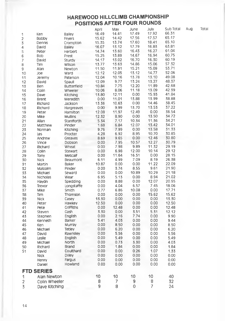### **HAREWOOD HILLCLIMB CHAMPIONSHIP POSITIONS AFTER FOUR ROUNDS**

|                         |                   |                    | April | May   | June  | July  | Sub Total | Aug | Total |
|-------------------------|-------------------|--------------------|-------|-------|-------|-------|-----------|-----|-------|
| 1                       | Ken               | Bailey             | 16.49 | 14.41 | 17.49 | 17.92 | 66.31     |     |       |
| $\overline{\mathbf{c}}$ | <b>Bobby</b>      | Fryers             | 15.62 | 14.42 | 17.56 | 17.57 | 65.17     |     |       |
| 3                       | Dennis            | Crompton           | 15.35 | 13.74 | 17.60 | 18.41 | 65.10     |     |       |
| 4                       | David             | Balley             | 16.07 | 13.12 | 17.79 | 16.83 | 63.81     |     |       |
| 5                       | Peter             | Herbert            | 14.74 | 13.60 | 16.43 | 16.27 | 61.04     |     |       |
| 6                       | <b>Bob</b>        | Prest              | 15.25 | 13.89 | 14.67 | 16.94 | 60.75     |     |       |
| 7                       | David             | Sturdy             | 14.17 | 13.02 | 16.70 | 16.30 | 60.19     |     |       |
| 8                       | Tim               | Wilson             | 13.77 | 13.63 | 14.86 | 15.06 | 57.32     |     |       |
| 9                       | Alan              | Newton             | 11.50 | 11.91 | 15.21 | 15.09 | 53.71     |     |       |
| 10                      | Joe               | Ward               | 12.12 | 12.05 | 13.12 | 14.77 | 52.06     |     |       |
| 11                      | Jeremy            | Paterson           | 12.04 | 10.16 | 13.78 | 13.10 | 49.08     |     |       |
| 12                      | David             | Spaull             | 12.09 | 9.77  | 13.24 | 13.27 | 48.37     |     |       |
| 13                      | Ben               | <b>Butterfield</b> | 10.84 | 7.75  | 12.20 | 11,89 | 42.68     |     |       |
| 14                      | Colin             | Wheeler            | 10.06 | 8.06  | 11.18 | 13.09 | 42.39     |     |       |
| 15                      | Dave              | Kitching           | 13.80 | 12.11 | 0.00  | 15.93 | 41.84     |     |       |
| 16                      | <b>Brent</b>      | Meredith           | 0.00  | 11.01 | 13.88 | 13.99 | 38.88     |     |       |
| 17                      | Richard           | Jackson            | 13.36 | 10.63 | 0.00  | 14.46 | 38.45     |     |       |
| 18                      | Richard           | Hargreaves         | 0.00  | 9.99  | 13.70 | 13.53 | 37.22     |     |       |
| 19                      | Peter             | Hamilton           | 12.08 | 11.97 | 12.49 | 0.00  | 36.54     |     |       |
| 20                      | Mike              | <b>Mullins</b>     | 12.32 | 8.90  | 0.00  | 13.50 | 34.72     |     |       |
| 21                      | Allan             | Staniforth         | 5.34  | 7.17  | 10.34 | 11.36 | 34.21     |     |       |
| 22                      | Matthew           | Pinder             | 1.68  | 6.84  | 12.07 | 13.42 | 34.01     |     |       |
| 23                      | Norman            | Kitching           | 9.76  | 7.99  | 0.00  | 13.58 | 31.33     |     |       |
| 24                      | Les               | Procter            | 4.28  | 6.92  | 8.95  | 10.70 | 30.85     |     |       |
| 25                      | Andrew            | Greaves            | 8.69  | 9.65  | 0.00  | 12.46 | 30.80     |     |       |
| 26                      | Vince             | Dobson             | 0.00  | 7.95  | 10.57 | 12.27 | 30.79     |     |       |
| 27                      | Richard           | Wheat              | 0.00  | 7.98  | 9.89  | 11.32 | 29.19     |     |       |
| 28                      | Colin             | Stewart            | 0.00  | 6.98  | 12.00 | 10.14 | 29.12     |     |       |
| 29                      | Tony              | Metcalf            | 0.00  | 11.64 | 16.51 | 0.00  | 28.15     |     |       |
| 30                      | <b>Nick</b>       | Beaumont           | 6.11  | 4.99  | 7.09  | 8.19  | 26.38     |     |       |
| 31                      | Martin            | Baker              | 10.87 | 0.00  | 0.00  | 11.22 | 22.09     |     |       |
| 32                      | Malcolm           | Pinder             | 0.00  | 3.74  | 8.55  | 9.61  | 21.90     |     |       |
| 33                      | Michael           | Seward             | 0.00  | 0.00  | 10.89 | 10.29 | 21.18     |     |       |
| 34                      | Nicholas          | Wear               | 6.95  | 5.13  | 0.00  | 8.94  | 21.02     |     |       |
| 35                      | Haydn             | Spedding           | 0.00  | 8.88  | 0.00  | 12.07 | 20.95     |     |       |
| 36                      | Trevor            | Longstaffe         | 0.00  | 4.04  | 6.57  | 7.45  | 18.06     |     |       |
| 37                      | Mike              | Smith              | 0.77  | 6.86  | 10.08 | 0.00  | 17.71     |     |       |
| 38                      | Tim               | Thomson            | 0.00  | 0.00  | 0.00  | 15.62 | 15.62     |     |       |
| 39                      | <b>Nick</b>       | Casey              | 13.30 | 0.00  | 0.00  | 0.00  | 13.30     |     |       |
| 40                      | Peter             | Hawkey             | 12.50 | 0.00  | 0.00  | 0.00  | 12.50     |     |       |
| 41                      | Pete              | Griffiths          | 0.00  | 12.48 | 0.00  | 0.00  | 12.48     |     |       |
| 42                      | Steven            | Gash               | 3.30  | 0.00  | 3.51  | 5.31  | 12.12     |     |       |
| 43                      | Stephen           | English            | 0.00  | 2.16  | 7.74  | 0.00  | 9.90      |     |       |
| 44                      | Kenneth           | Barker             | 5.41  | 4.03  | 0.00  | 0.00  | 9.44      |     |       |
| 45                      | Ken               | Murray             | 0.00  | 8.50  | 0.00  | 0.00  | 8.50      |     |       |
| 46                      | Michael           | Tetley             | 0.00  | 6.20  | 0.00  | 0.00  | 6.20      |     |       |
| 47                      | David             | Rawnsley           | 0.00  | 5.56  | 0.00  | 0.00  | 5.56      |     |       |
| 48                      | Leslie            | English            | 0.00  | 5.49  | 0.00  | 0.00  | 5.49      |     |       |
| 49                      | Michael           | North              | 0.00  | 0.73  | 3.30  | 0.00  | 4.03      |     |       |
| 50                      | Richard           | Brand              | 0.00  | 1.84  | 0.00  | 0.00  | 1.84      |     |       |
| 51                      | David             | Coulthard          | 0.00  | 0.00  | 0.26  | 1.07  | 1.33      |     |       |
|                         | <b>Nick</b>       | Diiley             | 0.00  | 0.00  | 0.00  | 0.00  | 0.00      |     |       |
|                         | Henry             | Fargus             | 0.00  | 0.00  | 0.00  | 0.00  | 0.00      |     |       |
|                         | Daniel            | Howland            | 0.00  | 0.00  | 0.00  | 0.00  | 0.00      |     |       |
|                         | <b>FTD SERIES</b> |                    |       |       |       |       |           |     |       |
| 1                       | Alan Newton       |                    | 10    | 10    | 10    | 10    | 40        |     |       |
| 2                       | Colin Wheeler     |                    | 8     | 7     | 9     | 8     | 32        |     |       |
| 3                       | Dave Kitching     |                    | 9     | 8     | 0     | 7     | 24        |     |       |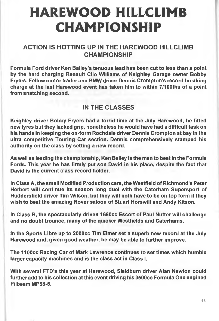# HAREWOOD HILLCLIMB CHAMPIONSHIP

## **ACTION IS HOTTING UP IN THE HAREWOOD HILLCLIMB CHAMPIONSHIP**

**Formula Ford driver Ken Bailey's tenuous lead has been cut to less than a point by the hard charging Renault Clio Williams of Keighley Garage owner Bobby Fryers. Fellow motor trader and BMW driver Dennis Crompton's record breaking charge at the last Harewood event has taken him to within 7/100ths of a point from snatching second.**

## **IN THE CLASSES**

**Keighley driver Bobby Fryers had a torrid time at the July Harewood, he fitted new tyres but they lacked grip, nonetheless he would have had a difficult task on his hands in keeping the on-form Rochdale driver Dennis Crompton at bay in the ultra competitive Touring Car section. Dennis comprehensively stamped his authority on the class by setting a new record.**

**As well as leading the championship, Ken Bailey is the man to beat in the Formula Fords. This year he has firmly put son David in his place, despite the fact that David is the current class record holder.**

**In Class A, the small Modified Production cars, the Westfield of Richmond's Peter Herbert will continue its season long duel with the Caterham Supersport of Huddersfield driver Tim Wilson, but they will both have to be on top form if they wish to beat the amazing Rover saloon of Stuart Horswill and Andy Kitson.**

**In Class B, the spectacularly driven 1660cc Escort of Paul Nutter will challenge and no doubt trounce, many of the quicker Westfields and Caterhams.**

**In the Sports Libre up to 2000cc Tim Elmer set a superb new record at the July Harewood and, given good weather, he may be able to further improve.**

**The 1100CC Racing Car of Mark Lawrence continues to set times which humble larger capacity machines and is the class act in Class I.**

**With several FTD's this year at Harewood, Slaidburn driver Alan Newton could further add to his collection at this event driving his 3500cc Formula One engined Pilbeam MP58-5.**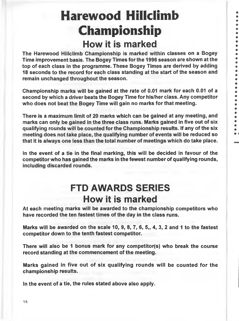# Harewood Hillclimb Championship **How it is marked**

**The Harewood Hillclimb Championship Is marlced within classes on a Bogey Time improvement basis. The Bogey Times for the 1996 season are shown at the top of each class in the programme. These Bogey Times are derived by adding 18 seconds to the record for each class standing at the start of the season and remain unchanged throughout the season.**

**Championship marks will be gained at the rate of 0.01 mark for each 0.01 of a second by which a driver beats the Bogey Time for his/her class. Any competitor who does not beat the Bogey Time will gain no marks for that meeting.**

**There is a maximum limit of 20 marks which can be gained at any meeting, and marks can only be gained in the three class runs. Marks gained in five out of six qualifying rounds will be counted for the Championship results. If any of the six meeting does not take place, the qualifying number of events will be reduced so that it is always one less than the total number of meetings which do take place.**

**In the event of a tie in the final marking, this will be decided in favour of the competitor who has gained the marks in the fewest number of qualifying rounds, including discarded rounds.**

## **FTD AWARDS SERIES How it is marked**

**At each meeting marks will be awarded to the championship competitors who have recorded the ten fastest times of the day in the class runs.**

**Marks will be awarded on the scale 10, 9, 8, 7, 6, 5,, 4, 3, 2 and 1 to the fastest competitor down to the tenth fastest competitor.**

**There will also be 1 bonus mark for any competitor(s) who break the course record standing at the commencement of the meeting.**

**Marks gained in five out of six qualifying rounds will be counted for the championship results.**

**In the event of a tie, the rules stated above also apply.**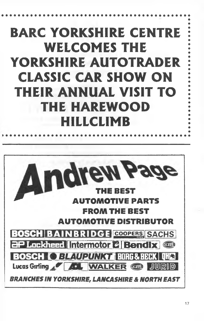# BARC YORKSHIRE CENTRE WELCOMES THE YORKSHIRE AUTOTRADER CLASSIC CAR SHOW ON THEIR ANNUAL VISIT TO THE HAREWOOD HILLCLIMB

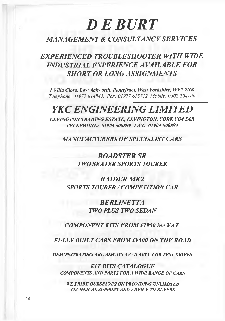# *D E B U R T*

## *MANAGEMENT & CONSULTANCY SERVICES*

*EXPERIENCED TROUBLESHOOTER WITH WIDE INDUSTRIAL EXPERIENCE A VAILABLE FOR SHORT OR LONG ASSIGNMENTS*

*1 Villa Close, Low Ackworth, Pontefract, West Yorkshire, WF7 7NR Telephone: 01977 614843. Fax: 01977 615712. Mobile: 0802 204100*

## *YKC ENGINEERING LIMITED*

*ELVINGTON TRADING ESTATE, ELVINGTON, YORK Y04 5AR TELEPHONE: 01904 608899 FAX: 01904 608894*

*MANUFACTURERS OF SPECIALIST CARS*

*ROADSTER SR TWO SEA TER SPORTS TOURER*

*RAIDER MK2 SPORTS TOURER / COMPETITION CAR*

> *BERLINETTA TWO PLUS TWO SEDAN*

*COMPONENT KITS FROM £1950 inc VAT.*

*FULLY BUILT CARS FROM £9500 ON THE ROAD*

*DEMONSTRA TORS ARE ALWAYS A VAILABLE FOR TEST DRIVES*

*KIT BITS CA TALOGUE COMPONENTS AND PARTS FOR A WIDE RANGE OF CARS*

*WE PRIDE OURSEL VES ON PROVIDING UNLIMITED TECHNICAL SUPPORT AND ADVICE TO BUYERS*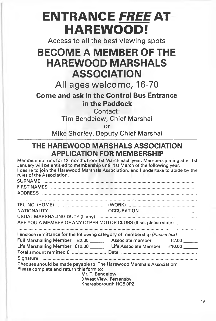# **ENTRANCE** *FREE AT* **HAREWOOD!**

Access to all the best viewing spots

## **BECOME A MEMBER OF THE HAREWOOD MARSHALS ASSOCIATION**

All ages welcome, 16-70

**Come and ask in the Control Bus Entrance in the Paddock**

Contact:

Tim Bendelow, Chief Marshal

or

Mike Shorley, Deputy Chief Marshal

## **THE HAREWOOD MARSHALS ASSOCIATION APPLICATION FOR MEMBERSHIP**

| Membership runs for 12 months from 1st March each year. Members joining after 1st<br>January will be entitled to membership until 1st March of the following year.<br>I desire to join the Harewood Marshals Association, and I undertake to abide by the<br>rules of the Association. |  |  |
|----------------------------------------------------------------------------------------------------------------------------------------------------------------------------------------------------------------------------------------------------------------------------------------|--|--|
|                                                                                                                                                                                                                                                                                        |  |  |
|                                                                                                                                                                                                                                                                                        |  |  |
|                                                                                                                                                                                                                                                                                        |  |  |
|                                                                                                                                                                                                                                                                                        |  |  |
|                                                                                                                                                                                                                                                                                        |  |  |
|                                                                                                                                                                                                                                                                                        |  |  |
| ARE YOU A MEMBER OF ANY OTHER MOTOR CLUBS (If so, please state)                                                                                                                                                                                                                        |  |  |
|                                                                                                                                                                                                                                                                                        |  |  |
| I enclose remittance for the following category of membership (Please tick)                                                                                                                                                                                                            |  |  |
| Full Marshalling Member £2.00 ________ Associate member £2.00 _____                                                                                                                                                                                                                    |  |  |
| Life Marshalling Member £10.00 Life Associate Member £10.00 Life                                                                                                                                                                                                                       |  |  |
|                                                                                                                                                                                                                                                                                        |  |  |
|                                                                                                                                                                                                                                                                                        |  |  |
| Cheques should be made payable to 'The Harewood Marshals Association'                                                                                                                                                                                                                  |  |  |
| Please complete and return this form to:                                                                                                                                                                                                                                               |  |  |
| Mr. T. Bendelow<br>3 West View, Ferrensby                                                                                                                                                                                                                                              |  |  |
|                                                                                                                                                                                                                                                                                        |  |  |

Knaresborough HG5 OPZ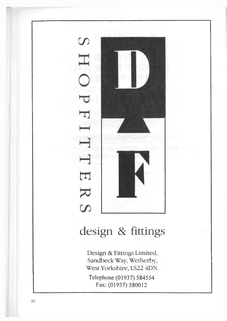

**Telephone (01937) 584554 Fax: (01937) 580012**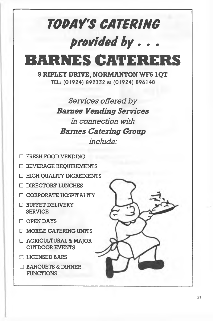# *TOPArS CATERING provided by. . .*

**BARNES CATERERS**

9 RIPLEY DRIVE, NORMANTON WF6 IQT TEL: (01924) 892332 & (01924) 896148

> *Services offered by Barnes Vending Services in connection with Barnes Catering Group include:*

- □ FRESH FOOD VENDING
- □ BEVERAGE REQUIREMENTS
- □ HIGH QUALITY INGREDIENTS
- □ DIRECTORS' LUNCHES
- □ CORPORATE HOSPITALITY
- □ BUFFET DELIVERY SERVICE
- □ OPEN DAYS
- □ MOBILE CATERING UNITS
- □ AGRICULTURAL & MAJOR OUTDOOR EVENTS
- □ LICENSED BARS
- □ BANQUETS & DINNER FUNCTIONS

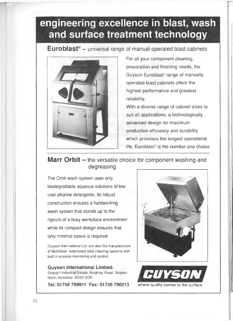## **engineering excellence in blast, wash and surface treatment technology**

**Euroblast<sup>®</sup>** - universal range of manual operated blast cabinets



For all your component cleaning, preparation and finishing needs, the Guyson Euroblast® range of manually operated blast cabinets offers the *M* highest performance and greatest reliability.

With a diverse range of cabinet sizes to suit all applications, a technologically advanced design for maximum production efficiency and durability which promises the longest operational life, Euroblast® is the number one choice

## **Marr Orbit** – the versatile choice for component washing and degreasing

The Orbit wash system uses only biodegradable aqueous solutions of low cost alkaline detergents. Its robust construction ensures a hardworking wash system that stands up to the rigours of a busy workplace environment while its compact design ensures that only minimal space is required.

Guyson International Ltd. are also the manufacturers of Multiblast\* automated blast cleaning systems with built in process monitoring and control.

### Guyson International Limited.

Tel: 01756 799911 Fax: 01756 790213 where quality comes to the surface



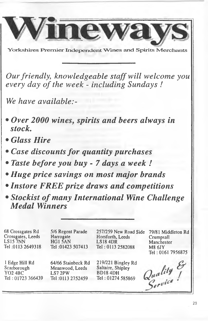

Yorkshires Premier Independent Wines and Spirits Merchants

*Our friendly, knowledgeable staff will welcome you* every day of the week - including Sundays!

*We have available:-*

- *Over 2000 wines, spirits and beers always in stock,*
- *Glass Hire*
- *Case discounts for quantity purchases*
- *Taste before you buy* 7 *days a week I*
- *Huge price savings on most major brands*
- *Instore FREE prize draws and competitions*
- *Stockist of many International Wine Challenge Medal Winners*

68 Crossgates Rd 5/6 Regent Parade 257/259 New Road Side 79/81 Middleton Rd Crossgates, Leeds Horsforth, Leeds Harrogate Crumpsall LS15 7NN  $HG1\overline{5}AN$ LS18 4DR Manchester Tel ;0113 2649318 Tel :01423 507413 Tel: 0113 2582088 M8 6JY Tel: 0161 7956875 Quality & 1 Edge Hill Rd 64/66 Stainbeck Rd 219/221 Bingley Rd Saltaire, Shipley Scarborough Meanwood, Leeds YO2 4BC BD18 4DH LS7 2PW Tel : 01723 366439 Tel: 01274 585869 Tel :0113 2752459